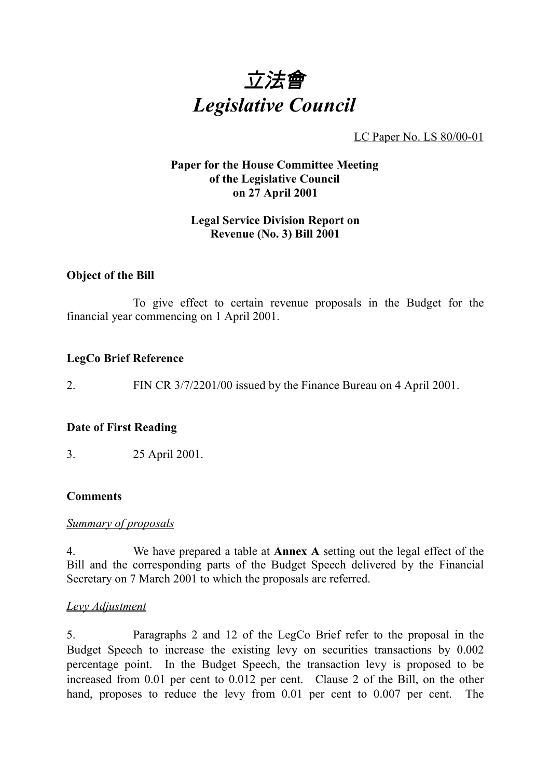

LC Paper No. LS 80/00-01

#### **Paper for the House Committee Meeting of the Legislative Council on 27 April 2001**

#### **Legal Service Division Report on Revenue (No. 3) Bill 2001**

#### **Object of the Bill**

To give effect to certain revenue proposals in the Budget for the financial year commencing on 1 April 2001.

#### **LegCo Brief Reference**

2. FIN CR 3/7/2201/00 issued by the Finance Bureau on 4 April 2001.

#### **Date of First Reading**

3. 25 April 2001.

#### **Comments**

#### *Summary of proposals*

4. We have prepared a table at **Annex A** setting out the legal effect of the Bill and the corresponding parts of the Budget Speech delivered by the Financial Secretary on 7 March 2001 to which the proposals are referred.

#### *Levy Adjustment*

5. Paragraphs 2 and 12 of the LegCo Brief refer to the proposal in the Budget Speech to increase the existing levy on securities transactions by 0.002 percentage point. In the Budget Speech, the transaction levy is proposed to be increased from 0.01 per cent to 0.012 per cent. Clause 2 of the Bill, on the other hand, proposes to reduce the levy from 0.01 per cent to 0.007 per cent. The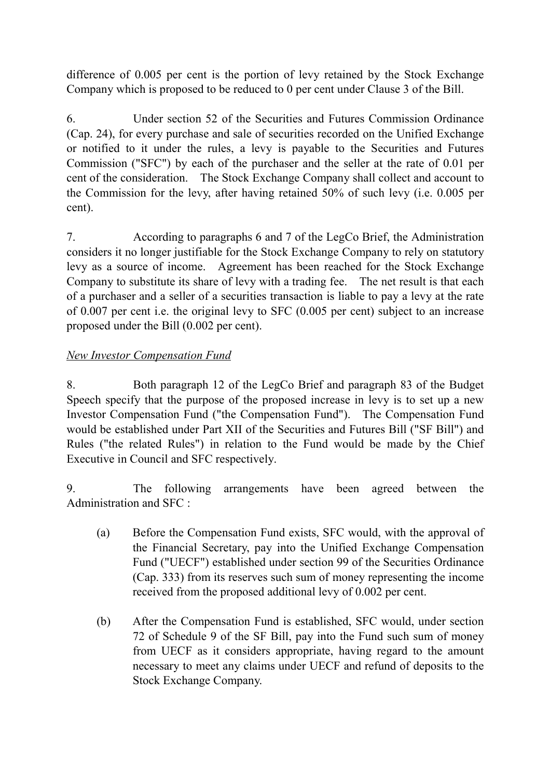difference of 0.005 per cent is the portion of levy retained by the Stock Exchange Company which is proposed to be reduced to 0 per cent under Clause 3 of the Bill.

6. Under section 52 of the Securities and Futures Commission Ordinance (Cap. 24), for every purchase and sale of securities recorded on the Unified Exchange or notified to it under the rules, a levy is payable to the Securities and Futures Commission ("SFC") by each of the purchaser and the seller at the rate of 0.01 per cent of the consideration. The Stock Exchange Company shall collect and account to the Commission for the levy, after having retained 50% of such levy (i.e. 0.005 per cent).

7. According to paragraphs 6 and 7 of the LegCo Brief, the Administration considers it no longer justifiable for the Stock Exchange Company to rely on statutory levy as a source of income. Agreement has been reached for the Stock Exchange Company to substitute its share of levy with a trading fee. The net result is that each of a purchaser and a seller of a securities transaction is liable to pay a levy at the rate of 0.007 per cent i.e. the original levy to SFC (0.005 per cent) subject to an increase proposed under the Bill (0.002 per cent).

## *New Investor Compensation Fund*

8. Both paragraph 12 of the LegCo Brief and paragraph 83 of the Budget Speech specify that the purpose of the proposed increase in levy is to set up a new Investor Compensation Fund ("the Compensation Fund"). The Compensation Fund would be established under Part XII of the Securities and Futures Bill ("SF Bill") and Rules ("the related Rules") in relation to the Fund would be made by the Chief Executive in Council and SFC respectively.

9. The following arrangements have been agreed between the Administration and SFC :

- (a) Before the Compensation Fund exists, SFC would, with the approval of the Financial Secretary, pay into the Unified Exchange Compensation Fund ("UECF") established under section 99 of the Securities Ordinance (Cap. 333) from its reserves such sum of money representing the income received from the proposed additional levy of 0.002 per cent.
- (b) After the Compensation Fund is established, SFC would, under section 72 of Schedule 9 of the SF Bill, pay into the Fund such sum of money from UECF as it considers appropriate, having regard to the amount necessary to meet any claims under UECF and refund of deposits to the Stock Exchange Company.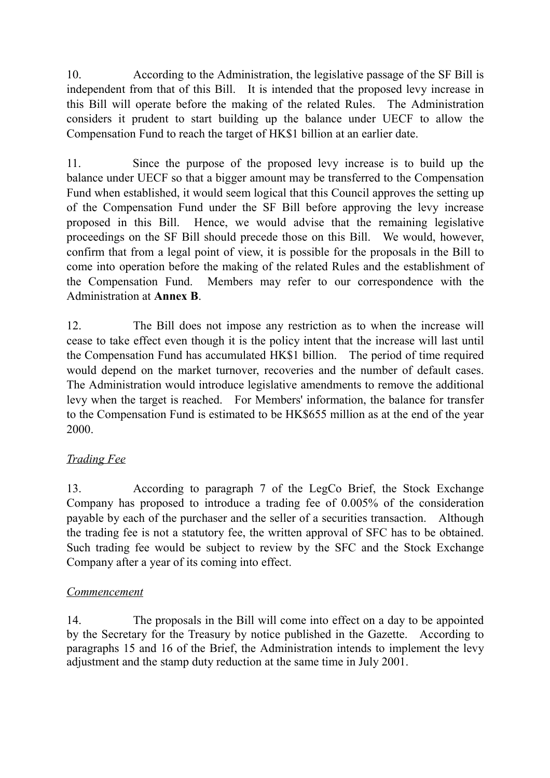10. According to the Administration, the legislative passage of the SF Bill is independent from that of this Bill. It is intended that the proposed levy increase in this Bill will operate before the making of the related Rules. The Administration considers it prudent to start building up the balance under UECF to allow the Compensation Fund to reach the target of HK\$1 billion at an earlier date.

11. Since the purpose of the proposed levy increase is to build up the balance under UECF so that a bigger amount may be transferred to the Compensation Fund when established, it would seem logical that this Council approves the setting up of the Compensation Fund under the SF Bill before approving the levy increase proposed in this Bill. Hence, we would advise that the remaining legislative proceedings on the SF Bill should precede those on this Bill. We would, however, confirm that from a legal point of view, it is possible for the proposals in the Bill to come into operation before the making of the related Rules and the establishment of the Compensation Fund. Members may refer to our correspondence with the Administration at **Annex B**.

12. The Bill does not impose any restriction as to when the increase will cease to take effect even though it is the policy intent that the increase will last until the Compensation Fund has accumulated HK\$1 billion. The period of time required would depend on the market turnover, recoveries and the number of default cases. The Administration would introduce legislative amendments to remove the additional levy when the target is reached. For Members' information, the balance for transfer to the Compensation Fund is estimated to be HK\$655 million as at the end of the year 2000.

## *Trading Fee*

13. According to paragraph 7 of the LegCo Brief, the Stock Exchange Company has proposed to introduce a trading fee of 0.005% of the consideration payable by each of the purchaser and the seller of a securities transaction. Although the trading fee is not a statutory fee, the written approval of SFC has to be obtained. Such trading fee would be subject to review by the SFC and the Stock Exchange Company after a year of its coming into effect.

## *Commencement*

14. The proposals in the Bill will come into effect on a day to be appointed by the Secretary for the Treasury by notice published in the Gazette. According to paragraphs 15 and 16 of the Brief, the Administration intends to implement the levy adjustment and the stamp duty reduction at the same time in July 2001.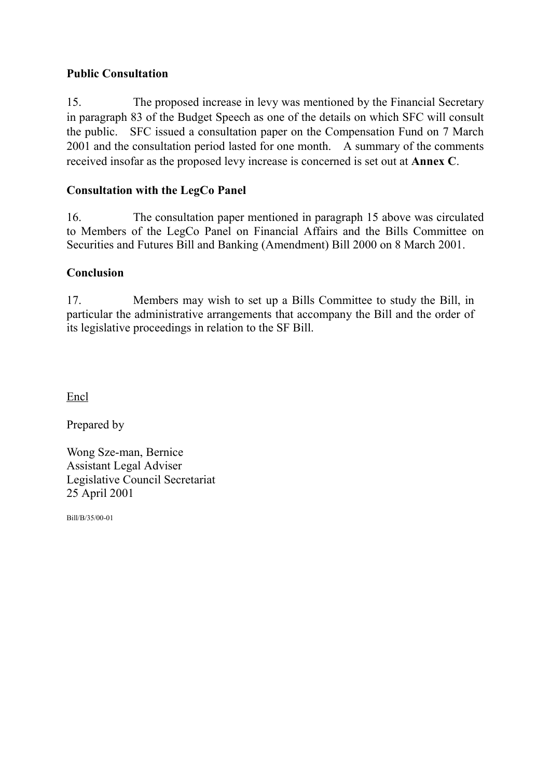## **Public Consultation**

15. The proposed increase in levy was mentioned by the Financial Secretary in paragraph 83 of the Budget Speech as one of the details on which SFC will consult the public. SFC issued a consultation paper on the Compensation Fund on 7 March 2001 and the consultation period lasted for one month. A summary of the comments received insofar as the proposed levy increase is concerned is set out at **Annex C**.

## **Consultation with the LegCo Panel**

16. The consultation paper mentioned in paragraph 15 above was circulated to Members of the LegCo Panel on Financial Affairs and the Bills Committee on Securities and Futures Bill and Banking (Amendment) Bill 2000 on 8 March 2001.

## **Conclusion**

17. Members may wish to set up a Bills Committee to study the Bill, in particular the administrative arrangements that accompany the Bill and the order of its legislative proceedings in relation to the SF Bill.

Encl

Prepared by

Wong Sze-man, Bernice Assistant Legal Adviser Legislative Council Secretariat 25 April 2001

Bill/B/35/00-01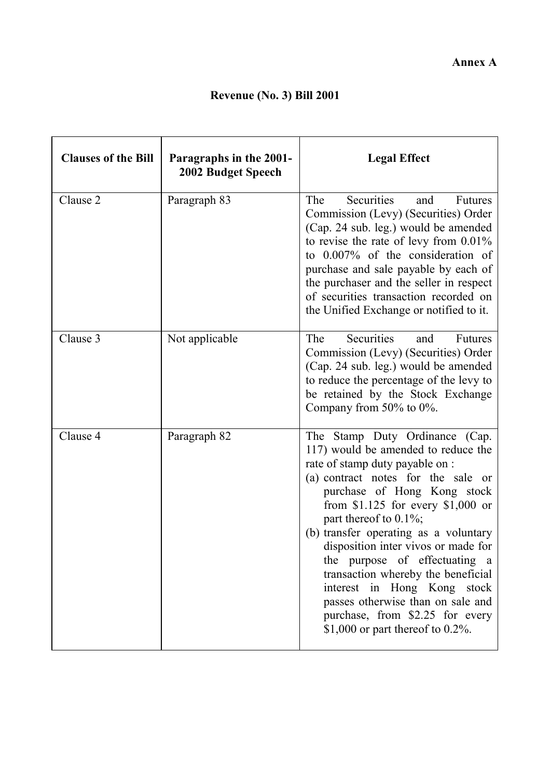# **Revenue (No. 3) Bill 2001**

| <b>Clauses of the Bill</b> | Paragraphs in the 2001-<br><b>2002 Budget Speech</b> | <b>Legal Effect</b>                                                                                                                                                                                                                                                                                                                                                                                                                                                                                                                                     |
|----------------------------|------------------------------------------------------|---------------------------------------------------------------------------------------------------------------------------------------------------------------------------------------------------------------------------------------------------------------------------------------------------------------------------------------------------------------------------------------------------------------------------------------------------------------------------------------------------------------------------------------------------------|
| Clause 2                   | Paragraph 83                                         | <b>Securities</b><br>The<br>and<br><b>Futures</b><br>Commission (Levy) (Securities) Order<br>(Cap. 24 sub. leg.) would be amended<br>to revise the rate of levy from 0.01%<br>to 0.007% of the consideration of<br>purchase and sale payable by each of<br>the purchaser and the seller in respect<br>of securities transaction recorded on<br>the Unified Exchange or notified to it.                                                                                                                                                                  |
| Clause 3                   | Not applicable                                       | Securities<br>The<br>and<br>Futures<br>Commission (Levy) (Securities) Order<br>(Cap. 24 sub. leg.) would be amended<br>to reduce the percentage of the levy to<br>be retained by the Stock Exchange<br>Company from 50% to 0%.                                                                                                                                                                                                                                                                                                                          |
| Clause 4                   | Paragraph 82                                         | The Stamp Duty Ordinance (Cap.<br>117) would be amended to reduce the<br>rate of stamp duty payable on :<br>(a) contract notes for the sale or<br>purchase of Hong Kong stock<br>from $$1.125$ for every $$1,000$ or<br>part thereof to $0.1\%$ ;<br>(b) transfer operating as a voluntary<br>disposition inter vivos or made for<br>the purpose of effectuating a<br>transaction whereby the beneficial<br>interest in Hong Kong stock<br>passes otherwise than on sale and<br>purchase, from \$2.25 for every<br>\$1,000 or part thereof to $0.2\%$ . |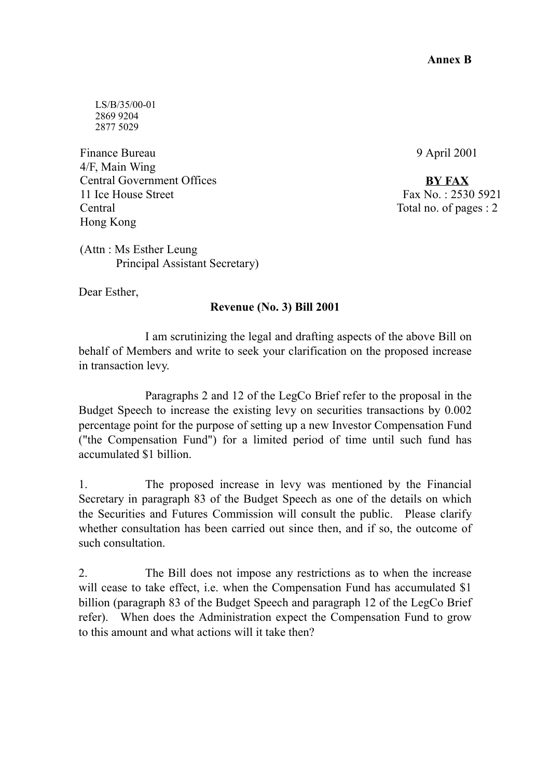LS/B/35/00-01 2869 9204 2877 5029

Finance Bureau 4/F, Main Wing Central Government Offices 11 Ice House Street Central Hong Kong

9 April 2001

**BY FAX** Fax No. : 2530 5921 Total no. of pages : 2

(Attn : Ms Esther Leung Principal Assistant Secretary)

Dear Esther,

## **Revenue (No. 3) Bill 2001**

I am scrutinizing the legal and drafting aspects of the above Bill on behalf of Members and write to seek your clarification on the proposed increase in transaction levy.

Paragraphs 2 and 12 of the LegCo Brief refer to the proposal in the Budget Speech to increase the existing levy on securities transactions by 0.002 percentage point for the purpose of setting up a new Investor Compensation Fund ("the Compensation Fund") for a limited period of time until such fund has accumulated \$1 billion.

1. The proposed increase in levy was mentioned by the Financial Secretary in paragraph 83 of the Budget Speech as one of the details on which the Securities and Futures Commission will consult the public. Please clarify whether consultation has been carried out since then, and if so, the outcome of such consultation.

2. The Bill does not impose any restrictions as to when the increase will cease to take effect, i.e. when the Compensation Fund has accumulated \$1 billion (paragraph 83 of the Budget Speech and paragraph 12 of the LegCo Brief refer). When does the Administration expect the Compensation Fund to grow to this amount and what actions will it take then?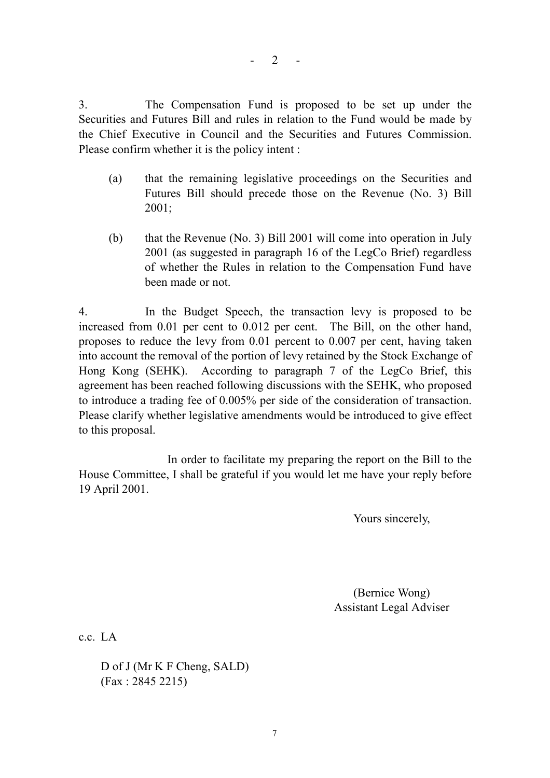$- 2 - -$ 

3. The Compensation Fund is proposed to be set up under the Securities and Futures Bill and rules in relation to the Fund would be made by the Chief Executive in Council and the Securities and Futures Commission. Please confirm whether it is the policy intent :

- (a) that the remaining legislative proceedings on the Securities and Futures Bill should precede those on the Revenue (No. 3) Bill 2001;
- (b) that the Revenue (No. 3) Bill 2001 will come into operation in July 2001 (as suggested in paragraph 16 of the LegCo Brief) regardless of whether the Rules in relation to the Compensation Fund have been made or not.

4. In the Budget Speech, the transaction levy is proposed to be increased from 0.01 per cent to 0.012 per cent. The Bill, on the other hand, proposes to reduce the levy from 0.01 percent to 0.007 per cent, having taken into account the removal of the portion of levy retained by the Stock Exchange of Hong Kong (SEHK). According to paragraph 7 of the LegCo Brief, this agreement has been reached following discussions with the SEHK, who proposed to introduce a trading fee of 0.005% per side of the consideration of transaction. Please clarify whether legislative amendments would be introduced to give effect to this proposal.

In order to facilitate my preparing the report on the Bill to the House Committee, I shall be grateful if you would let me have your reply before 19 April 2001.

Yours sincerely,

(Bernice Wong) Assistant Legal Adviser

c.c. LA

D of J (Mr K F Cheng, SALD) (Fax : 2845 2215)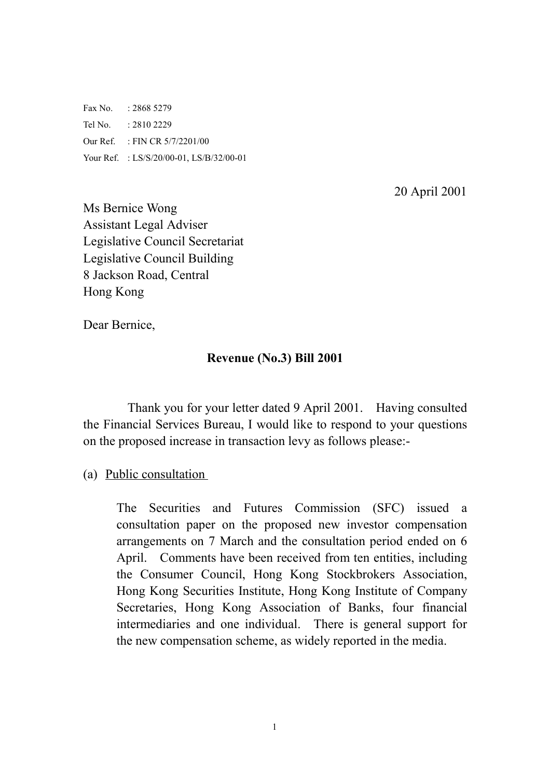Fax No. : 2868 5279 Tel No. : 2810 2229 Our Ref. : FIN CR 5/7/2201/00 Your Ref. : LS/S/20/00-01, LS/B/32/00-01

20 April 2001

Ms Bernice Wong Assistant Legal Adviser Legislative Council Secretariat Legislative Council Building 8 Jackson Road, Central Hong Kong

Dear Bernice,

## **Revenue (No.3) Bill 2001**

Thank you for your letter dated 9 April 2001. Having consulted the Financial Services Bureau, I would like to respond to your questions on the proposed increase in transaction levy as follows please:-

## (a) Public consultation

The Securities and Futures Commission (SFC) issued a consultation paper on the proposed new investor compensation arrangements on 7 March and the consultation period ended on 6 April. Comments have been received from ten entities, including the Consumer Council, Hong Kong Stockbrokers Association, Hong Kong Securities Institute, Hong Kong Institute of Company Secretaries, Hong Kong Association of Banks, four financial intermediaries and one individual. There is general support for the new compensation scheme, as widely reported in the media.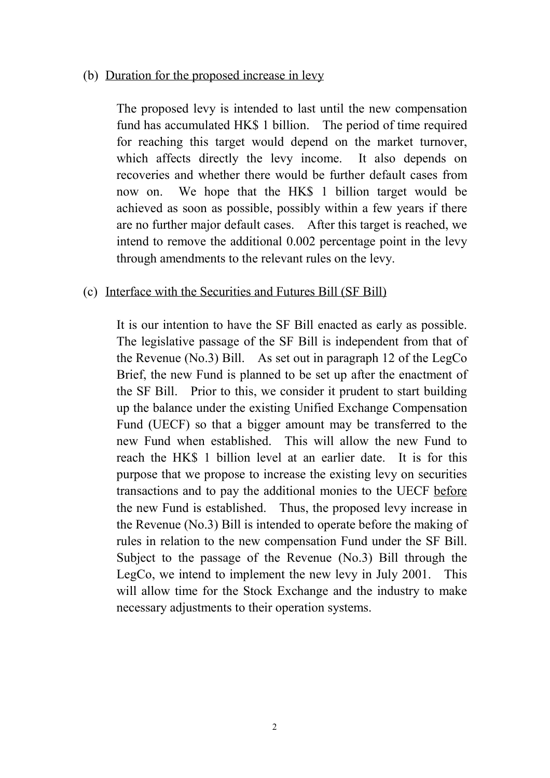#### (b) Duration for the proposed increase in levy

The proposed levy is intended to last until the new compensation fund has accumulated HK\$ 1 billion. The period of time required for reaching this target would depend on the market turnover, which affects directly the levy income. It also depends on recoveries and whether there would be further default cases from now on. We hope that the HK\$ 1 billion target would be achieved as soon as possible, possibly within a few years if there are no further major default cases. After this target is reached, we intend to remove the additional 0.002 percentage point in the levy through amendments to the relevant rules on the levy.

## (c) Interface with the Securities and Futures Bill (SF Bill)

It is our intention to have the SF Bill enacted as early as possible. The legislative passage of the SF Bill is independent from that of the Revenue (No.3) Bill. As set out in paragraph 12 of the LegCo Brief, the new Fund is planned to be set up after the enactment of the SF Bill. Prior to this, we consider it prudent to start building up the balance under the existing Unified Exchange Compensation Fund (UECF) so that a bigger amount may be transferred to the new Fund when established. This will allow the new Fund to reach the HK\$ 1 billion level at an earlier date. It is for this purpose that we propose to increase the existing levy on securities transactions and to pay the additional monies to the UECF before the new Fund is established. Thus, the proposed levy increase in the Revenue (No.3) Bill is intended to operate before the making of rules in relation to the new compensation Fund under the SF Bill. Subject to the passage of the Revenue (No.3) Bill through the LegCo, we intend to implement the new levy in July 2001. This will allow time for the Stock Exchange and the industry to make necessary adjustments to their operation systems.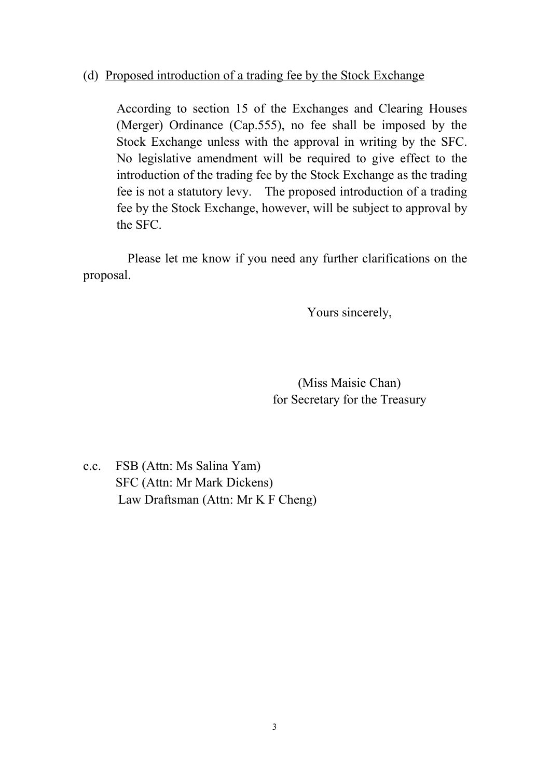## (d) Proposed introduction of a trading fee by the Stock Exchange

According to section 15 of the Exchanges and Clearing Houses (Merger) Ordinance (Cap.555), no fee shall be imposed by the Stock Exchange unless with the approval in writing by the SFC. No legislative amendment will be required to give effect to the introduction of the trading fee by the Stock Exchange as the trading fee is not a statutory levy. The proposed introduction of a trading fee by the Stock Exchange, however, will be subject to approval by the SFC.

Please let me know if you need any further clarifications on the proposal.

Yours sincerely,

(Miss Maisie Chan) for Secretary for the Treasury

c.c. FSB (Attn: Ms Salina Yam) SFC (Attn: Mr Mark Dickens) Law Draftsman (Attn: Mr K F Cheng)